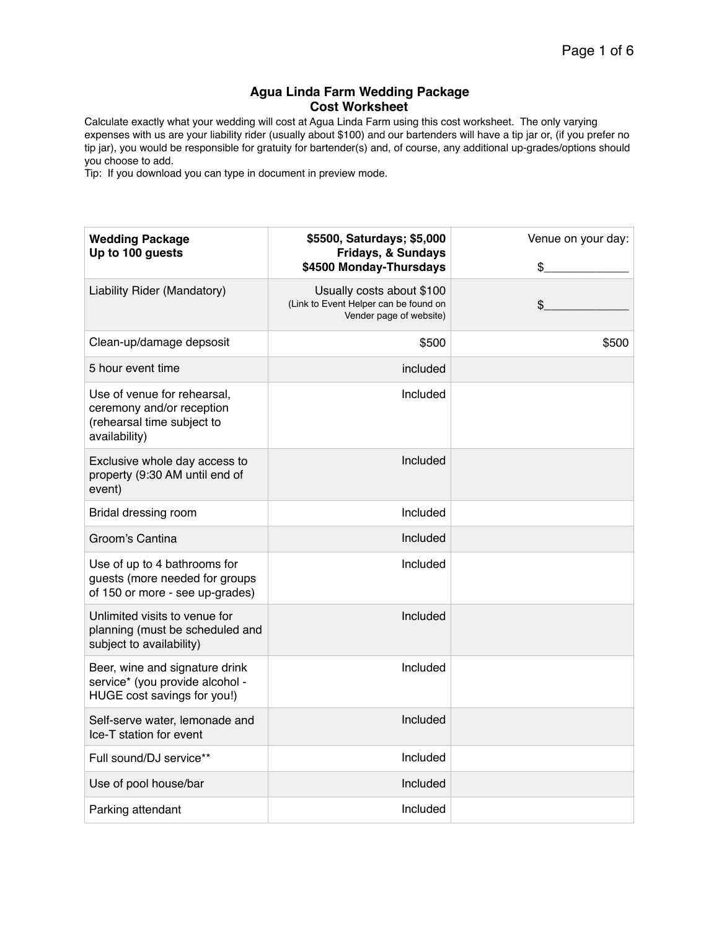## **Agua Linda Farm Wedding Package Cost Worksheet**

Calculate exactly what your wedding will cost at Agua Linda Farm using this cost worksheet. The only varying expenses with us are your liability rider (usually about \$100) and our bartenders will have a tip jar or, (if you prefer no tip jar), you would be responsible for gratuity for bartender(s) and, of course, any additional up-grades/options should you choose to add.

Tip: If you download you can type in document in preview mode.

| <b>Wedding Package</b><br>Up to 100 guests                                                              | \$5500, Saturdays; \$5,000<br>Fridays, & Sundays<br>\$4500 Monday-Thursdays                   | Venue on your day:<br>\$ |
|---------------------------------------------------------------------------------------------------------|-----------------------------------------------------------------------------------------------|--------------------------|
| Liability Rider (Mandatory)                                                                             | Usually costs about \$100<br>(Link to Event Helper can be found on<br>Vender page of website) | \$                       |
| Clean-up/damage depsosit                                                                                | \$500                                                                                         | \$500                    |
| 5 hour event time                                                                                       | included                                                                                      |                          |
| Use of venue for rehearsal,<br>ceremony and/or reception<br>(rehearsal time subject to<br>availability) | Included                                                                                      |                          |
| Exclusive whole day access to<br>property (9:30 AM until end of<br>event)                               | Included                                                                                      |                          |
| Bridal dressing room                                                                                    | Included                                                                                      |                          |
| Groom's Cantina                                                                                         | Included                                                                                      |                          |
| Use of up to 4 bathrooms for<br>guests (more needed for groups<br>of 150 or more - see up-grades)       | Included                                                                                      |                          |
| Unlimited visits to venue for<br>planning (must be scheduled and<br>subject to availability)            | Included                                                                                      |                          |
| Beer, wine and signature drink<br>service* (you provide alcohol -<br>HUGE cost savings for you!)        | Included                                                                                      |                          |
| Self-serve water, lemonade and<br>Ice-T station for event                                               | Included                                                                                      |                          |
| Full sound/DJ service**                                                                                 | Included                                                                                      |                          |
| Use of pool house/bar                                                                                   | Included                                                                                      |                          |
| Parking attendant                                                                                       | Included                                                                                      |                          |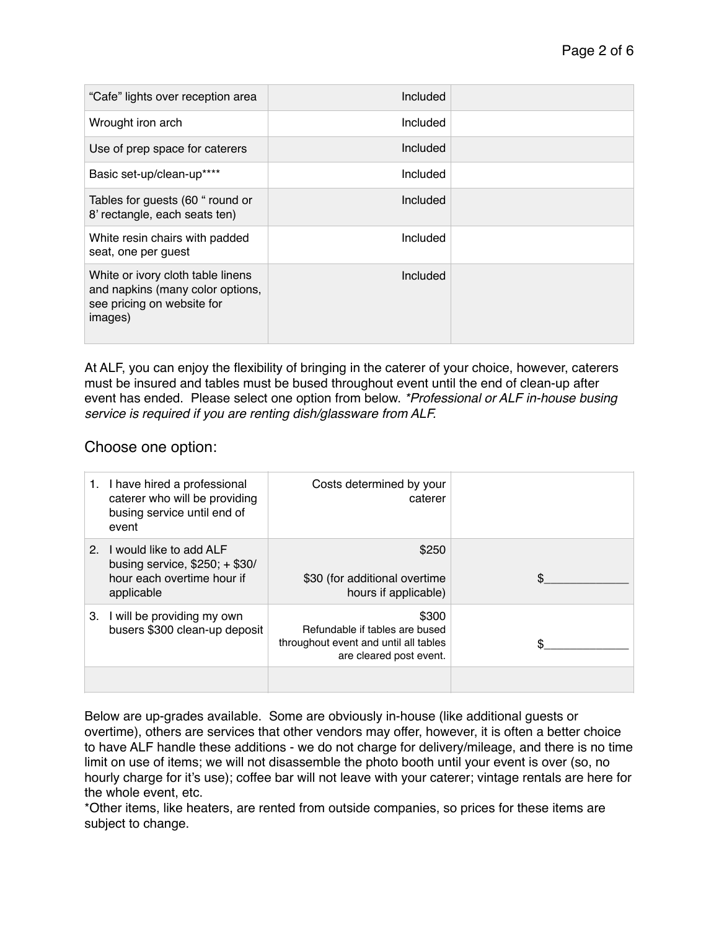| "Cafe" lights over reception area                                                                              | Included |  |
|----------------------------------------------------------------------------------------------------------------|----------|--|
| Wrought iron arch                                                                                              | Included |  |
| Use of prep space for caterers                                                                                 | Included |  |
| Basic set-up/clean-up****                                                                                      | Included |  |
| Tables for guests (60 " round or<br>8' rectangle, each seats ten)                                              | Included |  |
| White resin chairs with padded<br>seat, one per guest                                                          | Included |  |
| White or ivory cloth table linens<br>and napkins (many color options,<br>see pricing on website for<br>images) | Included |  |

At ALF, you can enjoy the flexibility of bringing in the caterer of your choice, however, caterers must be insured and tables must be bused throughout event until the end of clean-up after event has ended. Please select one option from below. *\*Professional or ALF in-house busing service is required if you are renting dish/glassware from ALF.*

## Choose one option:

|    | I have hired a professional<br>caterer who will be providing<br>busing service until end of<br>event  | Costs determined by your<br>caterer                                                                         |  |
|----|-------------------------------------------------------------------------------------------------------|-------------------------------------------------------------------------------------------------------------|--|
| 2. | I would like to add ALF<br>busing service, $$250; + $30/$<br>hour each overtime hour if<br>applicable | \$250<br>\$30 (for additional overtime<br>hours if applicable)                                              |  |
|    | 3. I will be providing my own<br>busers \$300 clean-up deposit                                        | \$300<br>Refundable if tables are bused<br>throughout event and until all tables<br>are cleared post event. |  |
|    |                                                                                                       |                                                                                                             |  |

Below are up-grades available. Some are obviously in-house (like additional guests or overtime), others are services that other vendors may offer, however, it is often a better choice to have ALF handle these additions - we do not charge for delivery/mileage, and there is no time limit on use of items; we will not disassemble the photo booth until your event is over (so, no hourly charge for it's use); coffee bar will not leave with your caterer; vintage rentals are here for the whole event, etc.

\*Other items, like heaters, are rented from outside companies, so prices for these items are subject to change.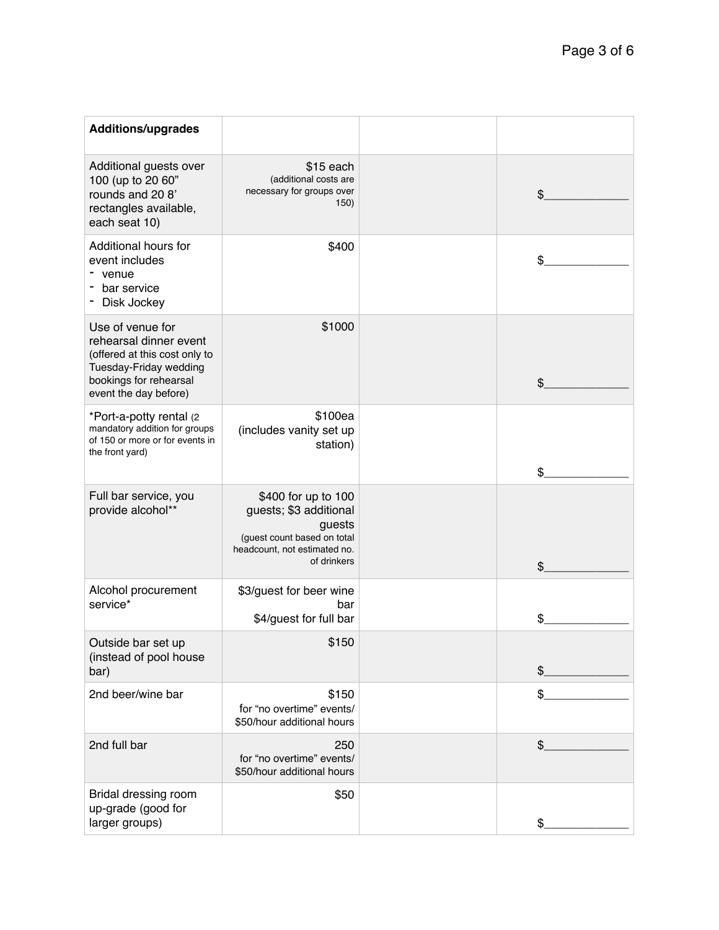| <b>Additions/upgrades</b>                                                                                                                                |                                                                                                                                       |               |
|----------------------------------------------------------------------------------------------------------------------------------------------------------|---------------------------------------------------------------------------------------------------------------------------------------|---------------|
| Additional guests over<br>100 (up to 20 60"<br>rounds and 20 8'<br>rectangles available,<br>each seat 10)                                                | \$15 each<br>(additional costs are<br>necessary for groups over<br>150)                                                               | \$            |
| Additional hours for<br>event includes<br>venue<br>bar service<br>Disk Jockey                                                                            | \$400                                                                                                                                 | \$            |
| Use of venue for<br>rehearsal dinner event<br>(offered at this cost only to<br>Tuesday-Friday wedding<br>bookings for rehearsal<br>event the day before) | \$1000                                                                                                                                | \$            |
| *Port-a-potty rental (2<br>mandatory addition for groups<br>of 150 or more or for events in<br>the front yard)                                           | \$100ea<br>(includes vanity set up<br>station)                                                                                        | \$            |
| Full bar service, you<br>provide alcohol**                                                                                                               | \$400 for up to 100<br>guests; \$3 additional<br>guests<br>(guest count based on total<br>headcount, not estimated no.<br>of drinkers | \$            |
| Alcohol procurement<br>service*                                                                                                                          | \$3/guest for beer wine<br>bar<br>\$4/guest for full bar                                                                              | \$            |
| Outside bar set up<br>(instead of pool house<br>bar)                                                                                                     | \$150                                                                                                                                 | $\frac{1}{2}$ |
| 2nd beer/wine bar                                                                                                                                        | \$150<br>for "no overtime" events/<br>\$50/hour additional hours                                                                      | \$            |
| 2nd full bar                                                                                                                                             | 250<br>for "no overtime" events/<br>\$50/hour additional hours                                                                        | \$            |
| Bridal dressing room<br>up-grade (good for<br>larger groups)                                                                                             | \$50                                                                                                                                  | \$            |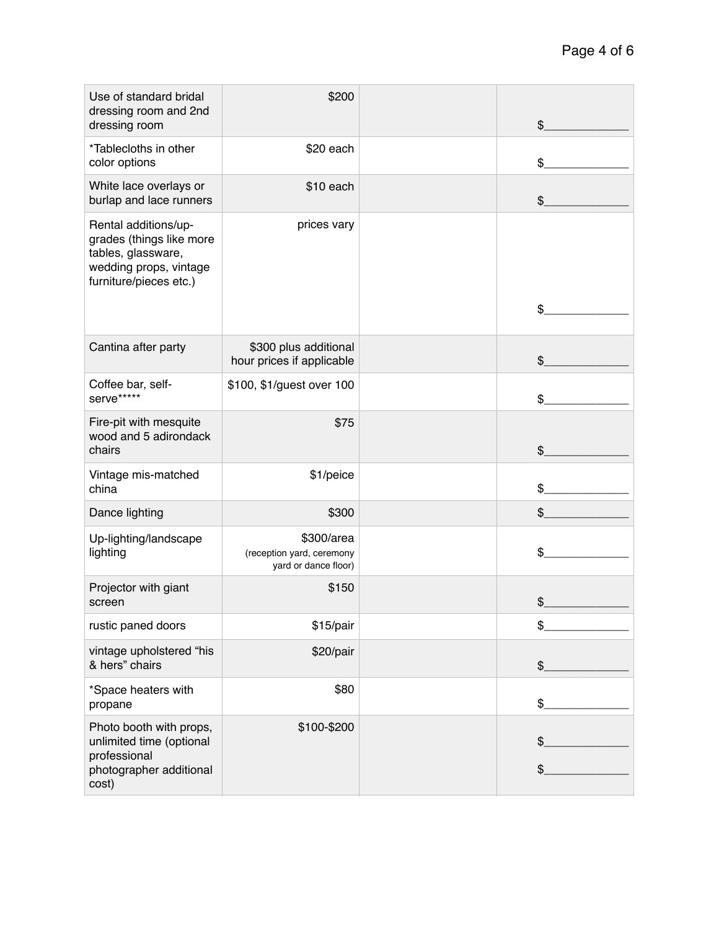| Use of standard bridal<br>dressing room and 2nd<br>dressing room                                                           | \$200                                                           | \$       |
|----------------------------------------------------------------------------------------------------------------------------|-----------------------------------------------------------------|----------|
| *Tablecloths in other<br>color options                                                                                     | \$20 each                                                       | \$       |
| White lace overlays or<br>burlap and lace runners                                                                          | \$10 each                                                       | \$       |
| Rental additions/up-<br>grades (things like more<br>tables, glassware,<br>wedding props, vintage<br>furniture/pieces etc.) | prices vary                                                     | \$       |
| Cantina after party                                                                                                        | \$300 plus additional<br>hour prices if applicable              | \$       |
| Coffee bar, self-<br>serve*****                                                                                            | \$100, \$1/guest over 100                                       | \$       |
| Fire-pit with mesquite<br>wood and 5 adirondack<br>chairs                                                                  | \$75                                                            | \$       |
| Vintage mis-matched<br>china                                                                                               | \$1/peice                                                       | \$       |
| Dance lighting                                                                                                             | \$300                                                           | \$       |
| Up-lighting/landscape<br>lighting                                                                                          | \$300/area<br>(reception yard, ceremony<br>yard or dance floor) | \$       |
| Projector with giant<br>screen                                                                                             | \$150                                                           | \$       |
| rustic paned doors                                                                                                         | \$15/pair                                                       | \$       |
| vintage upholstered "his<br>& hers" chairs                                                                                 | \$20/pair                                                       | \$       |
| *Space heaters with<br>propane                                                                                             | \$80                                                            | \$       |
| Photo booth with props,<br>unlimited time (optional<br>professional<br>photographer additional<br>cost)                    | \$100-\$200                                                     | \$<br>\$ |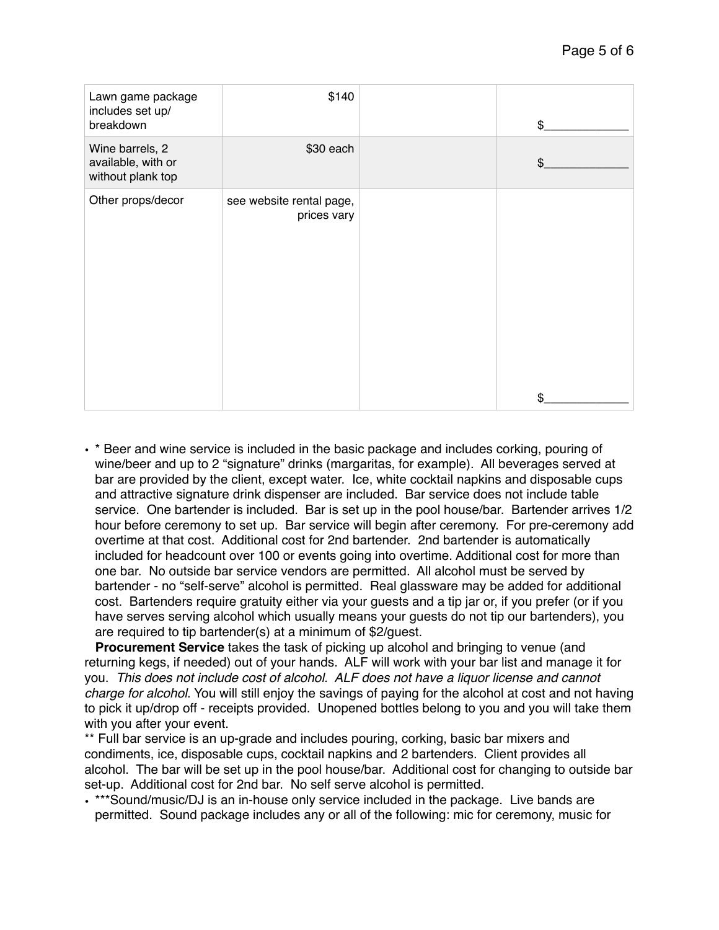| Lawn game package<br>includes set up/<br>breakdown         | \$140                                   | \$             |
|------------------------------------------------------------|-----------------------------------------|----------------|
| Wine barrels, 2<br>available, with or<br>without plank top | \$30 each                               | $\mathfrak{S}$ |
| Other props/decor                                          | see website rental page,<br>prices vary |                |
|                                                            |                                         | \$             |

• \* Beer and wine service is included in the basic package and includes corking, pouring of wine/beer and up to 2 "signature" drinks (margaritas, for example). All beverages served at bar are provided by the client, except water. Ice, white cocktail napkins and disposable cups and attractive signature drink dispenser are included. Bar service does not include table service. One bartender is included. Bar is set up in the pool house/bar. Bartender arrives 1/2 hour before ceremony to set up. Bar service will begin after ceremony. For pre-ceremony add overtime at that cost. Additional cost for 2nd bartender. 2nd bartender is automatically included for headcount over 100 or events going into overtime. Additional cost for more than one bar. No outside bar service vendors are permitted. All alcohol must be served by bartender - no "self-serve" alcohol is permitted. Real glassware may be added for additional cost. Bartenders require gratuity either via your guests and a tip jar or, if you prefer (or if you have serves serving alcohol which usually means your guests do not tip our bartenders), you are required to tip bartender(s) at a minimum of \$2/guest.

 **Procurement Service** takes the task of picking up alcohol and bringing to venue (and returning kegs, if needed) out of your hands. ALF will work with your bar list and manage it for you. *This does not include cost of alcohol. ALF does not have a liquor license and cannot charge for alcohol.* You will still enjoy the savings of paying for the alcohol at cost and not having to pick it up/drop off - receipts provided. Unopened bottles belong to you and you will take them with you after your event.

\*\* Full bar service is an up-grade and includes pouring, corking, basic bar mixers and condiments, ice, disposable cups, cocktail napkins and 2 bartenders. Client provides all alcohol. The bar will be set up in the pool house/bar. Additional cost for changing to outside bar set-up. Additional cost for 2nd bar. No self serve alcohol is permitted.

• \*\*\*Sound/music/DJ is an in-house only service included in the package. Live bands are permitted. Sound package includes any or all of the following: mic for ceremony, music for